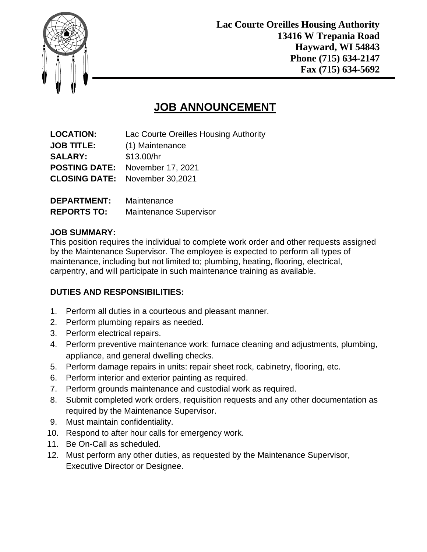

# **JOB ANNOUNCEMENT**

| <b>LOCATION:</b>   | Lac Courte Oreilles Housing Authority  |
|--------------------|----------------------------------------|
| <b>JOB TITLE:</b>  | (1) Maintenance                        |
| <b>SALARY:</b>     | \$13.00/hr                             |
|                    | <b>POSTING DATE:</b> November 17, 2021 |
|                    | <b>CLOSING DATE:</b> November 30,2021  |
| <b>DEPARTMENT:</b> | Maintenance                            |

| PLI AN IMLIVI.     | <u>Mallitudialiuu</u>         |
|--------------------|-------------------------------|
| <b>REPORTS TO:</b> | <b>Maintenance Supervisor</b> |

### **JOB SUMMARY:**

This position requires the individual to complete work order and other requests assigned by the Maintenance Supervisor. The employee is expected to perform all types of maintenance, including but not limited to; plumbing, heating, flooring, electrical, carpentry, and will participate in such maintenance training as available.

## **DUTIES AND RESPONSIBILITIES:**

- 1. Perform all duties in a courteous and pleasant manner.
- 2. Perform plumbing repairs as needed.
- 3. Perform electrical repairs.
- 4. Perform preventive maintenance work: furnace cleaning and adjustments, plumbing, appliance, and general dwelling checks.
- 5. Perform damage repairs in units: repair sheet rock, cabinetry, flooring, etc.
- 6. Perform interior and exterior painting as required.
- 7. Perform grounds maintenance and custodial work as required.
- 8. Submit completed work orders, requisition requests and any other documentation as required by the Maintenance Supervisor.
- 9. Must maintain confidentiality.
- 10. Respond to after hour calls for emergency work.
- 11. Be On-Call as scheduled.
- 12. Must perform any other duties, as requested by the Maintenance Supervisor, Executive Director or Designee.